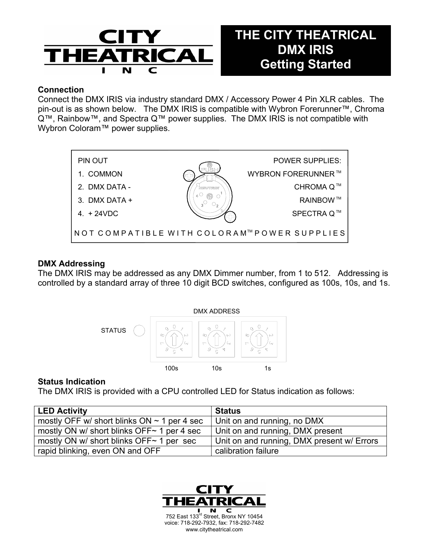

# **THE CITY THEATRICAL DMX IRIS Getting Started**

## **Connection**

Connect the DMX IRIS via industry standard DMX / Accessory Power 4 Pin XLR cables. The pin-out is as shown below. The DMX IRIS is compatible with Wybron Forerunner™, Chroma Q™, Rainbow™, and Spectra Q™ power supplies. The DMX IRIS is not compatible with Wybron Coloram™ power supplies.



### **DMX Addressing**

The DMX IRIS may be addressed as any DMX Dimmer number, from 1 to 512. Addressing is controlled by a standard array of three 10 digit BCD switches, configured as 100s, 10s, and 1s.



#### **Status Indication**

The DMX IRIS is provided with a CPU controlled LED for Status indication as follows:

| <b>LED Activity</b>                              | <b>Status</b>                              |
|--------------------------------------------------|--------------------------------------------|
| mostly OFF w/ short blinks ON $\sim$ 1 per 4 sec | Unit on and running, no DMX                |
| mostly ON w/ short blinks OFF~ 1 per 4 sec       | Unit on and running, DMX present           |
| mostly ON w/ short blinks OFF~ 1 per sec         | Unit on and running, DMX present w/ Errors |
| rapid blinking, even ON and OFF                  | calibration failure                        |